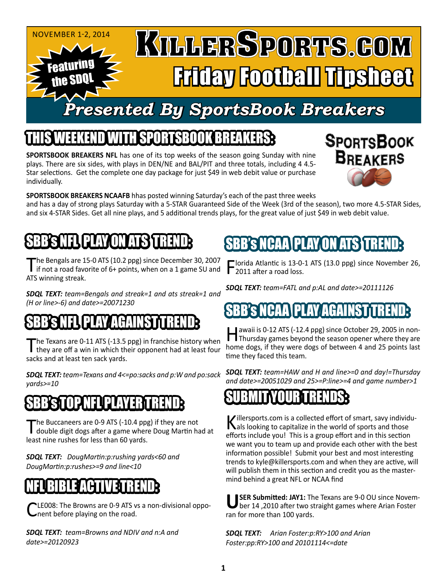#### November 1-2, 2014 KILLERSPORTS.GOM Featuring Friday Football Tipsheet the SDQL *Presented By SportsBook Breakers*

# **SPORTSBOOK BREA**

**SPORTSBOOK BREAKERS NFL** has one of its top weeks of the season going Sunday with nine plays. There are six sides, with plays in DEN/NE and BAL/PIT and three totals, including 4 4.5- Star selections. Get the complete one day package for just \$49 in web debit value or purchase individually.



**SPORTSBOOK BREAKERS NCAAFB** hhas posted winning Saturday's each of the past three weeks and has a day of strong plays Saturday with a 5-STAR Guaranteed Side of the Week (3rd of the season), two more 4.5-STAR Sides, and six 4-STAR Sides. Get all nine plays, and 5 additional trends plays, for the great value of just \$49 in web debit value.

# SBB's LIP PAY ON A

The Bengals are 15-0 ATS (10.2 ppg) since December 30, 2007<br>if not a road favorite of 6+ points, when on a 1 game SU and ATS winning streak.

*SDQL TEXT: team=Bengals and streak=1 and ats streak=1 and (H or line>-6) and date>=20071230*

# SBB's NGC PLAY AGAINST TREND

The Texans are 0-11 ATS (-13.5 ppg) in franchise history when<br>they are off a win in which their opponent had at least four sacks and at least ten sack yards.

*SDQL TEXT: team=Texans and 4<=po:sacks and p:W and po:sack yards>=10*

## **STOP NFL PLAY**

The Buccaneers are 0-9 ATS (-10.4 ppg) if they are not<br>double digit dogs after a game where Doug Martin had at least nine rushes for less than 60 yards.

*SDQL TEXT: DougMartin:p:rushing yards<60 and DougMartin:p:rushes>=9 and line<10*

# NFL BIBLE ACTIVE TREND:

LE008: The Browns are 0-9 ATS vs a non-divisional opponent before playing on the road.

*SDQL TEXT: team=Browns and NDIV and n:A and date>=20120923*

## SBB's NCAA\PLAY،ON ATS

Florida Atlantic is 13-0-1 ATS (13.0 ppg) since November 26, **T** 2011 after a road loss.

*SDQL TEXT: team=FATL and p:AL and date>=20111126*

# ICAA\PLAY AGA

Hawaii is 0-12 ATS (-12.4 ppg) since October 29, 2005 in non-Thursday games beyond the season opener where they are home dogs, if they were dogs of between 4 and 25 points last time they faced this team.

*SDQL TEXT: team=HAW and H and line>=0 and day!=Thursday and date>=20051029 and 25>=P:line>=4 and game number>1*

## SUBMITYOURTRENDS:

Killersports.com is a collected effort of smart, savy individu-<br>
als looking to capitalize in the world of sports and those efforts include you! This is a group effort and in this section we want you to team up and provide each other with the best information possible! Submit your best and most interesting trends to kyle@killersports.com and when they are active, will will publish them in this section and credit you as the mastermind behind a great NFL or NCAA find

USER Submitted: JAY1: The Texans are 9-0 OU since Novem-<br>ber 14,2010 after two straight games where Arian Foster ran for more than 100 yards.

*SDQL TEXT: Arian Foster:p:RY>100 and Arian Foster:pp:RY>100 and 20101114<=date*